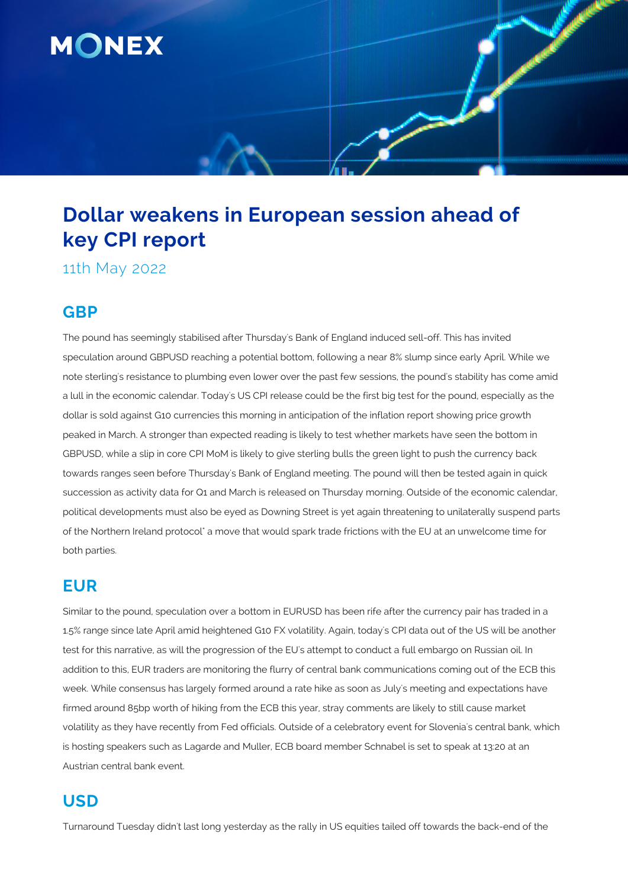

# **Dollar weakens in European session ahead of key CPI report**

11th May 2022

### **GBP**

The pound has seemingly stabilised after Thursday's Bank of England induced sell-off. This has invited speculation around GBPUSD reaching a potential bottom, following a near 8% slump since early April. While we note sterling's resistance to plumbing even lower over the past few sessions, the pound's stability has come amid a lull in the economic calendar. Today's US CPI release could be the first big test for the pound, especially as the dollar is sold against G10 currencies this morning in anticipation of the inflation report showing price growth peaked in March. A stronger than expected reading is likely to test whether markets have seen the bottom in GBPUSD, while a slip in core CPI MoM is likely to give sterling bulls the green light to push the currency back towards ranges seen before Thursday's Bank of England meeting. The pound will then be tested again in quick succession as activity data for Q1 and March is released on Thursday morning. Outside of the economic calendar, political developments must also be eyed as Downing Street is yet again threatening to unilaterally suspend parts of the Northern Ireland protocol" a move that would spark trade frictions with the EU at an unwelcome time for both parties.

#### **EUR**

Similar to the pound, speculation over a bottom in EURUSD has been rife after the currency pair has traded in a 1.5% range since late April amid heightened G10 FX volatility. Again, today's CPI data out of the US will be another test for this narrative, as will the progression of the EU's attempt to conduct a full embargo on Russian oil. In addition to this, EUR traders are monitoring the flurry of central bank communications coming out of the ECB this week. While consensus has largely formed around a rate hike as soon as July's meeting and expectations have firmed around 85bp worth of hiking from the ECB this year, stray comments are likely to still cause market volatility as they have recently from Fed officials. Outside of a celebratory event for Slovenia's central bank, which is hosting speakers such as Lagarde and Muller, ECB board member Schnabel is set to speak at 13:20 at an Austrian central bank event.

## **USD**

Turnaround Tuesday didn't last long yesterday as the rally in US equities tailed off towards the back-end of the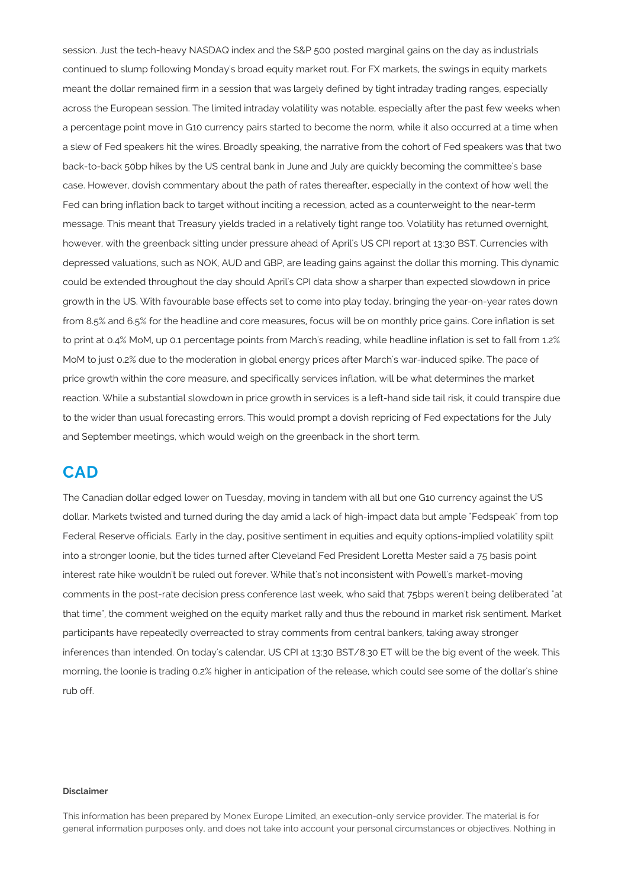session. Just the tech-heavy NASDAQ index and the S&P 500 posted marginal gains on the day as industrials continued to slump following Monday's broad equity market rout. For FX markets, the swings in equity markets meant the dollar remained firm in a session that was largely defined by tight intraday trading ranges, especially across the European session. The limited intraday volatility was notable, especially after the past few weeks when a percentage point move in G10 currency pairs started to become the norm, while it also occurred at a time when a slew of Fed speakers hit the wires. Broadly speaking, the narrative from the cohort of Fed speakers was that two back-to-back 50bp hikes by the US central bank in June and July are quickly becoming the committee's base case. However, dovish commentary about the path of rates thereafter, especially in the context of how well the Fed can bring inflation back to target without inciting a recession, acted as a counterweight to the near-term message. This meant that Treasury yields traded in a relatively tight range too. Volatility has returned overnight, however, with the greenback sitting under pressure ahead of April's US CPI report at 13:30 BST. Currencies with depressed valuations, such as NOK, AUD and GBP, are leading gains against the dollar this morning. This dynamic could be extended throughout the day should April's CPI data show a sharper than expected slowdown in price growth in the US. With favourable base effects set to come into play today, bringing the year-on-year rates down from 8.5% and 6.5% for the headline and core measures, focus will be on monthly price gains. Core inflation is set to print at 0.4% MoM, up 0.1 percentage points from March's reading, while headline inflation is set to fall from 1.2% MoM to just 0.2% due to the moderation in global energy prices after March's war-induced spike. The pace of price growth within the core measure, and specifically services inflation, will be what determines the market reaction. While a substantial slowdown in price growth in services is a left-hand side tail risk, it could transpire due to the wider than usual forecasting errors. This would prompt a dovish repricing of Fed expectations for the July and September meetings, which would weigh on the greenback in the short term.

#### **CAD**

The Canadian dollar edged lower on Tuesday, moving in tandem with all but one G10 currency against the US dollar. Markets twisted and turned during the day amid a lack of high-impact data but ample "Fedspeak" from top Federal Reserve officials. Early in the day, positive sentiment in equities and equity options-implied volatility spilt into a stronger loonie, but the tides turned after Cleveland Fed President Loretta Mester said a 75 basis point interest rate hike wouldn't be ruled out forever. While that's not inconsistent with Powell's market-moving comments in the post-rate decision press conference last week, who said that 75bps weren't being deliberated "at that time", the comment weighed on the equity market rally and thus the rebound in market risk sentiment. Market participants have repeatedly overreacted to stray comments from central bankers, taking away stronger inferences than intended. On today's calendar, US CPI at 13:30 BST/8:30 ET will be the big event of the week. This morning, the loonie is trading 0.2% higher in anticipation of the release, which could see some of the dollar's shine rub off.

#### **Disclaimer**

This information has been prepared by Monex Europe Limited, an execution-only service provider. The material is for general information purposes only, and does not take into account your personal circumstances or objectives. Nothing in